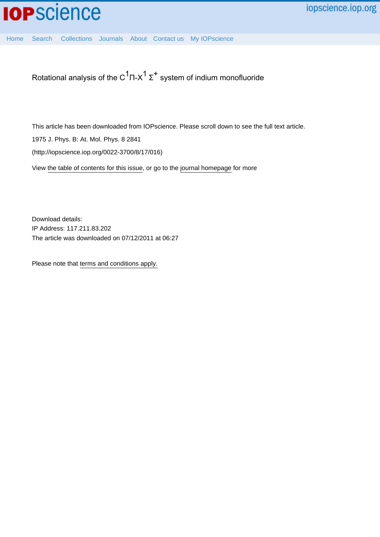

[Home](http://iopscience.iop.org/) [Search](http://iopscience.iop.org/search) [Collections](http://iopscience.iop.org/collections) [Journals](http://iopscience.iop.org/journals) [About](http://iopscience.iop.org/page/aboutioppublishing) [Contact us](http://iopscience.iop.org/contact) [My IOPscience](http://iopscience.iop.org/myiopscience)

Rotational analysis of the C $^1$ Π-Χ $^1$  Σ $^+$  system of indium monofluoride

This article has been downloaded from IOPscience. Please scroll down to see the full text article.

1975 J. Phys. B: At. Mol. Phys. 8 2841

(http://iopscience.iop.org/0022-3700/8/17/016)

View [the table of contents for this issue](http://iopscience.iop.org/0022-3700/8/17), or go to the [journal homepage](http://iopscience.iop.org/0022-3700) for more

Download details: IP Address: 117.211.83.202 The article was downloaded on 07/12/2011 at 06:27

Please note that [terms and conditions apply.](http://iopscience.iop.org/page/terms)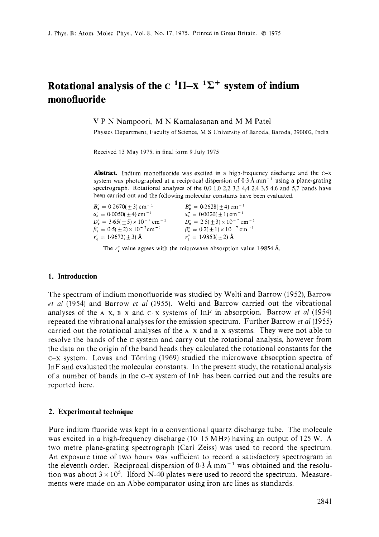# **Rotational analysis of the C**  ${}^{1}\Pi$ -X  ${}^{1}\Sigma$ <sup>+</sup> system of indium **monofluoride**

V P N Nampoori, M N Kamalasanan and M M Patel

Physics Department, Faculty of Science, M **S** University of Baroda, Baroda, 390002, India

Received 13 May 1975, in final form 9 July 1975

**Abstract.** Indium monofluoride was excited in a high-frequency discharge and the c-x system was photographed at a reciprocal dispersion of  $0.3 \text{ Å} \text{mm}^{-1}$  using a plane-grating spectrograph. Rotational analyses of the *0,O* 1,0 2,2 3,3 4,4 2,4 3,5 4,6 and 5,7 bands have been carried out and the following molecular constants have been evaluated.

| $B'_e = 0.2670(+3)$ cm <sup>-1</sup>                    | $B''_{\rm s} = 0.2628(+4)$ cm <sup>-1</sup>                     |
|---------------------------------------------------------|-----------------------------------------------------------------|
| $\alpha'_{n} = 0.0050(+4)$ cm <sup>-1</sup>             | $\alpha''_{\rm s} = 0.0020(\pm 1) \,\rm cm^{-1}$                |
| $D'_r = 3.65(\pm 5) \times 10^{-7}$ cm <sup>-1</sup>    | $D''_{\rm e} = 2.5(\pm 3) \times 10^{-7}$ cm <sup>-1</sup>      |
| $\beta'_e = 0.5(\pm 2) \times 10^{-7}$ cm <sup>-1</sup> | $\beta''_{\rm e} = 0.2 (\pm 1) \times 10^{-7}$ cm <sup>-1</sup> |
| $r' = 1.9672(\pm 3)$ Å                                  | $r'' = 1.9853(\pm 2)$ Å                                         |

The  $r''_e$  value agrees with the microwave absorption value 1.9854 Å.

## **1. Introduction**

The spectrum of indium monofluoride was studied by Welti and Barrow (1952), Barrow *rt al* (1954) and Barrow *et a1* (1955). Welti and Barrow carried out the vibrational analyses of the A-X, B-x and c-x systems of InF in absorption. Barrow *et a1* (1954) repeated the vibrational analyses for the emission spectrum. Further Barrow *et* al(1955) carried out the rotational analyses of the  $A-X$  and  $B-X$  systems. They were not able to resolve the bands of the c system and carry out the rotational analysis, however from the data on the origin of the band heads they calculated the rotationa! constants for the  $c-x$  system. Lovas and Törring (1969) studied the microwave absorption spectra of InF and evaluated the molecular constants. In the present study, the rotational analysis of a number of bands in the  $C-X$  system of InF has been carried out and the results are reported here.

#### **2. Experimental technique**

Pure indium fluoride was kept In a conventional quartz discharge tube. The molecule was excited in a high-frequency discharge (10–15 MHz) having an output of 125 W. A two metre plane-grating spectrograph (Carl-Zeiss) was used to record the spectrum. An exposure time of two hours was sufficient to record a satisfactory spectrogram in the eleventh order. Reciprocal dispersion of  $0.3 \text{ Å} \text{ mm}^{-1}$  was obtained and the resolution was about  $3 \times 10^5$ . Ilford N-40 plates were used to record the spectrum. Measurements were made on an Abbe comparator using iron arc lines as standards.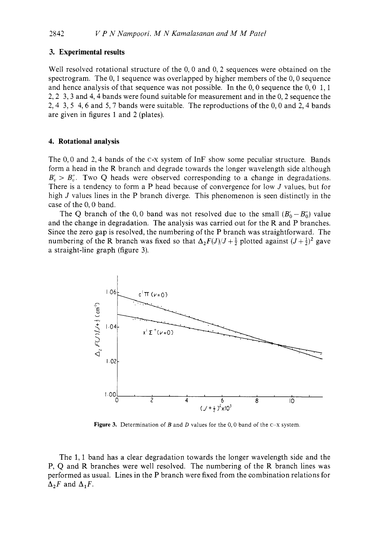#### **3. Experimental results**

Well resolved rotational structure of the 0,0 and 0,2 sequences were obtained on the spectrogram. The  $0, 1$  sequence was overlapped by higher members of the  $0, 0$  sequence and hence analysis of that sequence was not possible. In the  $0.0$  sequence the  $0.0 \, 1.1$ 2,2 3,3 and 4,4 bands were found suitable for measurement and in the 0,2 sequence the 2,4 3,5 4,6 and *5,7* bands were suitable. The reproductions of the 0,O and 2,4 bands are given in figures 1 and 2 (plates).

#### **4. Rotational analysis**

The 0,0 and 2,4 bands of the c-x system of InF show some peculiar structure. Bands form a head in the R branch and degrade towards the longer wavelength side although  $B'_n > B''_n$ . Two Q heads were observed corresponding to a change in degradations. There is a tendency to form a P head because of convergence for low *J* values, but for high *J* values lines in the P branch diverge. This phenomenon is seen distinctly in the case of the 0,O band.

The Q branch of the 0,0 band was not resolved due to the small  $(B'_0 - B''_0)$  value and the change in degradation. The analysis was carried out for the R and P branches. Since the zero gap is resolved, the numbering of the P branch was straightforward. The numbering of the R branch was fixed so that  $\Delta_2 F(J)/J + \frac{1}{2}$  plotted against  $(J + \frac{1}{2})^2$  gave a straight-line graph (figure 3).



**Figure 3.** Determination of *B* and *D* values for the 0,0 band of the c-x system.

The 1,1 band has a clear degradation towards the longer wavelength side and the P, Q and R branches were well resolved. The numbering of the R branch lines was performed as usual. Lines in the P branch were fixed from the combination relations for  $\Delta_2 F$  and  $\Delta_1 F$ .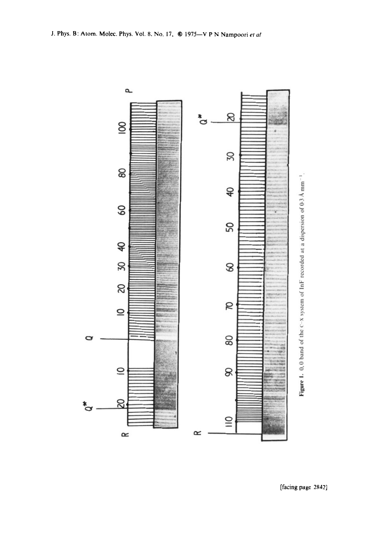

 $\equiv$ 

 $\propto$ 

δŚ,

 $\approx$ 

້ືອ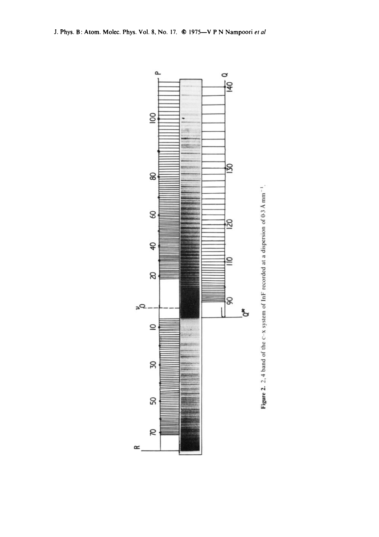

 $\simeq$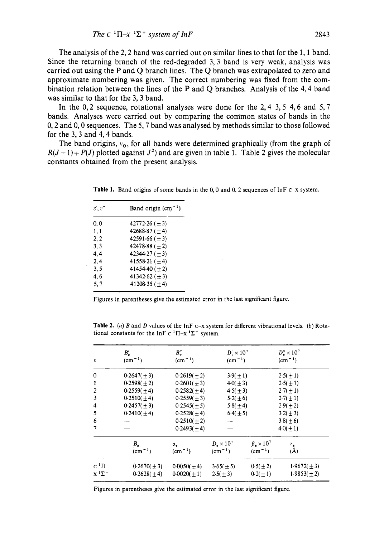The analysis of the 2, 2 band was carried out on similar lines to that for the 1, 1 band. Since the returning branch of the red-degraded 3,3 band is very weak, analysis was carried out using the P and Q branch lines. The **Q** branch was extrapolated to zero and approximate numbering was given. The correct numbering was fixed from the combination relation between the lines of the P and Q branches. Analysis of the 4,4 band was similar to that for the **3,3** band.

In the 0,2 sequence, rotational analyses were done for the 2,4 **3,5** 4,6 and **5,7**  bands. Analyses were carried out by comparing the common states of bands in the 0,2 and 0,O sequences. The **5,7** band was analysed by methods similar to those followed for the **3,3** and 4,4 bands.

The band origins,  $v_0$ , for all bands were determined graphically (from the graph of  $R(J-1)+P(J)$  plotted against  $J^2$ ) and are given in table 1. Table 2 gives the molecular constants obtained from the present analysis.

| v', v'' | Band origin $(cm-1)$ |
|---------|----------------------|
| 0.0     | $42772.26 (\pm 3)$   |
| 1,1     | 42688.87 ( $\pm$ 4)  |
| 2.2     | $42591.66 (+ 3)$     |
| 3, 3    | $42478.88 (+ 2)$     |
| 4.4     | 42344.27 $(\pm 3)$   |
| 2,4     | $41558.21 (+4)$      |
| 3.5     | 41454.40 $(\pm 2)$   |
| 4. 6    | 41342.62 ( $\pm$ 3)  |
| 5.7     | 41208.35 $(+4)$      |

**Table 1.** Band origins of some bands in the 0,O and 0,2 sequences of InF **C-x** system.

Figures in parentheses give the estimated error in the last significant figure.

**Table 2. (a)** *B* and *D* values of the InF **c-x** system for different vibrational levels. *(b)* Rotational constants for the InF  $C^1\Pi - x^1\Sigma^+$  system.

| $\boldsymbol{v}$        | $B_v'$<br>$\rm (cm^{-1})$ | $B_{v}^{\prime\prime}$<br>$(cm-1)$ | $D'_v \times 10^7$<br>$(cm^{-1})$     |                                     | $D''_{v} \times 10^{7}$<br>$(cm-1)$ |
|-------------------------|---------------------------|------------------------------------|---------------------------------------|-------------------------------------|-------------------------------------|
| $\mathbf 0$             | $0.2647(\pm 3)$           | $0.2619(\pm 2)$                    | $3.9(\pm 1)$                          |                                     | $2.5(\pm 1)$                        |
| $\mathbf{1}$            | $0.2598(\pm 2)$           | $0.2601(\pm 3)$                    | $4.0(\pm 3)$                          |                                     | $2.5(\pm 1)$                        |
| $\overline{2}$          | $0.2559(\pm 4)$           | $0.2582(\pm 4)$                    | $4.5(\pm 3)$                          |                                     | $2.7(\pm 1)$                        |
| 3                       | $0.2510(\pm 4)$           | $0.2559(\pm 3)$                    | $5.2(\pm 6)$                          |                                     | $2.7(\pm 1)$                        |
| $\overline{\mathbf{4}}$ | $0.2457(\pm 3)$           | $0.2545(\pm 5)$                    | 5.8(±4)                               |                                     | $2.9(\pm 2)$                        |
| 5                       | $0.2410(\pm 4)$           | $0.2528(\pm 4)$                    | $6.4(\pm 5)$                          |                                     | $3.2(\pm 3)$                        |
| 6                       |                           | $0.2510(\pm 2)$                    | --                                    |                                     | 3.8(±6)                             |
| $\overline{7}$          |                           | $0.2493(\pm 4)$                    |                                       |                                     | $4.0(\pm 1)$                        |
|                         | $B_{\rm e}$<br>$(cm-1)$   | $\alpha_{\rm e}$<br>$(cm-1)$       | $D_{\star} \times 10^{7}$<br>$(cm-1)$ | $\beta$ , $\times 10^7$<br>$(cm-1)$ | $r_{\rm e}$<br>(A)                  |
| $c^1\Pi$                | $0.2670(\pm 3)$           | $0.0050(\pm 4)$                    | $3.65(\pm 5)$                         | $0.5(\pm 2)$                        | $1.9672(\pm 3)$                     |
| $X^1\Sigma^+$           | $0.2628(\pm 4)$           | $0.0020(\pm 1)$                    | $2.5(\pm 3)$                          | $0.2(\pm 1)$                        | $1.9853(\pm 2)$                     |

Figures in parentheses give the estimated error in the last significant figure.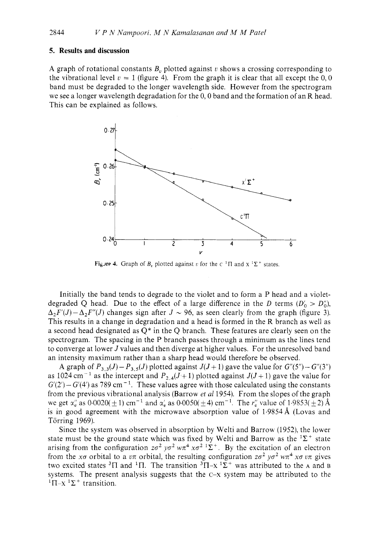#### **5. Results and discussion**

A graph of rotational constants  $B<sub>n</sub>$ , plotted against  $v$  shows a crossing corresponding to the vibrational level  $v = 1$  (figure 4). From the graph it is clear that all except the  $0, 0$ band must be degraded to the longer wavelength side. However from the spectrogram we see a longer wavelength degradation for the  $0, 0$  band and the formation of an R head. This can be explained as follows.



**Figure 4.** Graph of *B<sub>v</sub>* plotted against *v* for the  $C<sup>1</sup> \Pi$  and  $X<sup>1</sup> \Sigma<sup>+</sup>$  states.

Initially the band tends to degrade to the violet and to form a P head and a violetdegraded Q head. Due to the effect of a large difference in the *D* terms  $(D_0' > D_0'')$ ,  $\Delta_2 F'(J) - \Delta_2 F''(J)$  changes sign after  $J \sim 96$ , as seen clearly from the graph (figure 3). This results in a change in degradation and a head is formed in the R branch as well as a second head designated as *Q\** in the Q branch. These features are clearly seen on the spectrogram. The spacing in the P branch passes through a minimum as the lines tend to converge at lower *J* values and then diverge at higher values. For the unresolved band an intensity maximum rather than a sharp head would therefore be observed.

A graph of  $P_{3,3}(J) - P_{3,5}(J)$  plotted against  $J(J+1)$  gave the value for  $G''(5") - G''(3")$ as 1024 cm<sup>-1</sup> as the intercept and  $P_{2,4}(J+1)$  plotted against  $J(J+1)$  gave the value for  $G'(2') - G'(4')$  as 789 cm<sup>-1</sup>. These values agree with those calculated using the constants from the previous vibrational analysis (Barrow *et al* 1954). From the slopes of the graph we get  $\alpha''_e$  as  $0.0020(\pm 1)$  cm<sup>-1</sup> and  $\alpha'_e$  as  $0.0050(\pm 4)$  cm<sup>-1</sup>. The  $r''_e$  value of  $1.9853(\pm 2)$  Å is in good agreement with the microwave absorption value of  $1.9854 \text{ Å}$  (Lovas and Torring 1969).

Since the system was observed in absorption by Welti and Barrow (1952), the lower state must be the ground state which was fixed by Welti and Barrow as the  ${}^{1}\Sigma^{+}$  state arising from the configuration  $z\sigma^2 y\sigma^2 w\pi^4 x\sigma^2 \Gamma\Sigma^+$ . By the excitation of an electron from the *x* $\sigma$  orbital to a *vn* orbital, the resulting configuration  $z\sigma^2 y\sigma^2 w\pi^4 x\sigma v\pi$  gives two excited states <sup>3</sup> $\Pi$  and <sup>1</sup> $\Pi$ . The transition <sup>3</sup> $\Pi$ -x<sup>1</sup> $\Sigma$ <sup>+</sup> was attributed to the A and B systems. The present analysis suggests that the  $C - x$  system may be attributed to the <sup>1</sup> $\Pi$ -x<sup>1</sup> $\Sigma$ <sup>+</sup> transition.